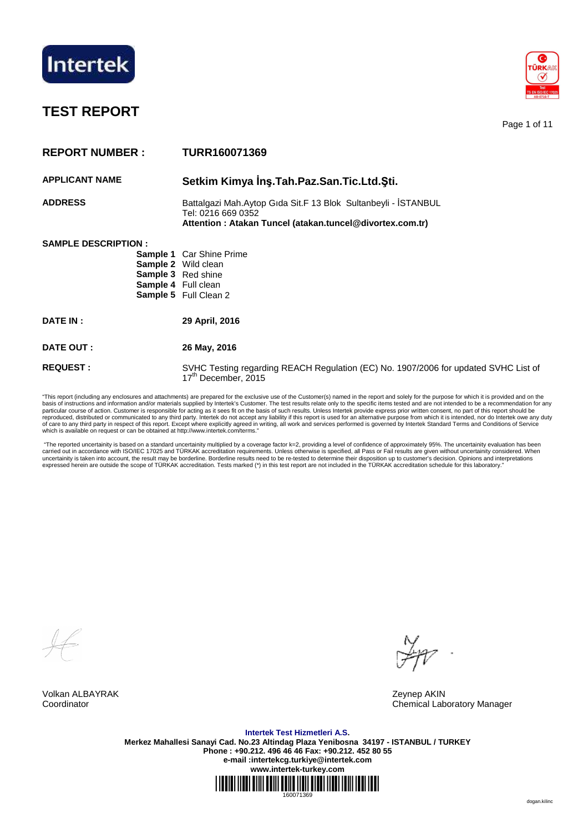

# **TEST REPORT**

Page 1 of 11

| <b>REPORT NUMBER:</b>      | <b>TURR160071369</b>                                                                                                                             |
|----------------------------|--------------------------------------------------------------------------------------------------------------------------------------------------|
| <b>APPLICANT NAME</b>      | Setkim Kimya İnş. Tah. Paz. San. Tic. Ltd. Şti.                                                                                                  |
| <b>ADDRESS</b>             | Battalgazi Mah.Aytop Gida Sit.F 13 Blok Sultanbeyli - İSTANBUL<br>Tel: 0216 669 0352<br>Attention: Atakan Tuncel (atakan.tuncel@divortex.com.tr) |
| <b>SAMPLE DESCRIPTION:</b> | <b>Sample 1</b> Car Shine Prime<br><b>Sample 2</b> Wild clean<br>Sample 3 Red shine<br>Sample 4 Full clean<br>Sample 5 Full Clean 2              |
| <b>DATE IN:</b>            | 29 April, 2016                                                                                                                                   |
| DATE OUT:                  | 26 May, 2016                                                                                                                                     |
| <b>REQUEST:</b>            | SVHC Testing regarding REACH Regulation (EC) No. 1907/2006 for updated SVHC List of<br>17 <sup>th</sup> December, 2015                           |

"This report (including any enclosures and attachments) are prepared for the exclusive use of the Customer(s) named in the report and solely for the purpose for which it is provided and on the basis of instructions and information and/or materials supplied by Intertek's Customer. The test results relate only to the specific items tested and are not intended to be a recommendation for any<br>particular course of act of care to any third party in respect of this report. Except where explicitly agreed in writing, all work and services performed is governed by Intertek Standard Terms and Conditions of Service<br>which is available on reques

 "The reported uncertainity is based on a standard uncertainity multiplied by a coverage factor k=2, providing a level of confidence of approximately 95%. The uncertainity evaluation has been carried out in accordance with ISO/IEC 17025 and TURKAK accreditation requirements. Unless otherwise is specified, all Pass or Fail results are given without uncertainity considered. When<br>uncertainity is taken into account

Volkan ALBAYRAK Zeynep AKIN

Coordinator Chemical Laboratory Manager

**Intertek Test Hizmetleri A.S. Merkez Mahallesi Sanayi Cad. No.23 Altindag Plaza Yenibosna 34197 - ISTANBUL / TURKEY Phone : +90.212. 496 46 46 Fax: +90.212. 452 80 55 e-mail :intertekcg.turkiye@intertek.com www.intertek-turkey.com**

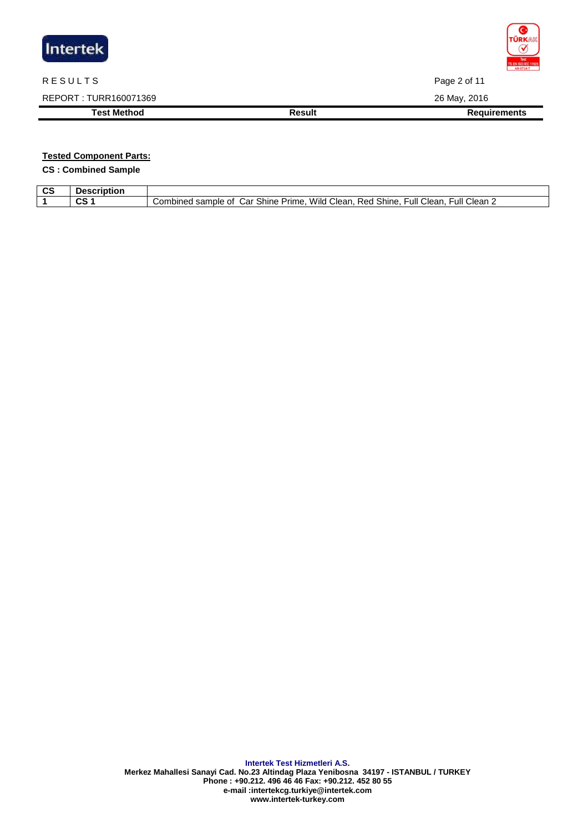| Intertek              |               | <b>TÜRKAK</b><br>✔<br><b>Test</b><br><b>TS EN ISO/IEC 17025</b><br>AB-0716-T |
|-----------------------|---------------|------------------------------------------------------------------------------|
| <b>RESULTS</b>        |               | Page 2 of 11                                                                 |
| REPORT: TURR160071369 |               | 26 May, 2016                                                                 |
| <b>Test Method</b>    | <b>Result</b> | <b>Requirements</b>                                                          |
|                       |               |                                                                              |

# **Tested Component Parts:**

**CS : Combined Sample** 

| $\sim$<br>uc | sawimbian<br>otion |                                                                                                                                    |
|--------------|--------------------|------------------------------------------------------------------------------------------------------------------------------------|
|              | ~~<br>w            | -<br>.<br>Clean 2<br>Shine<br>Shine<br>Full<br>Clean<br>∙ull<br>Wild<br>Combined<br>sample<br>اar<br>Prime.<br>Red<br>Clean.<br>Οt |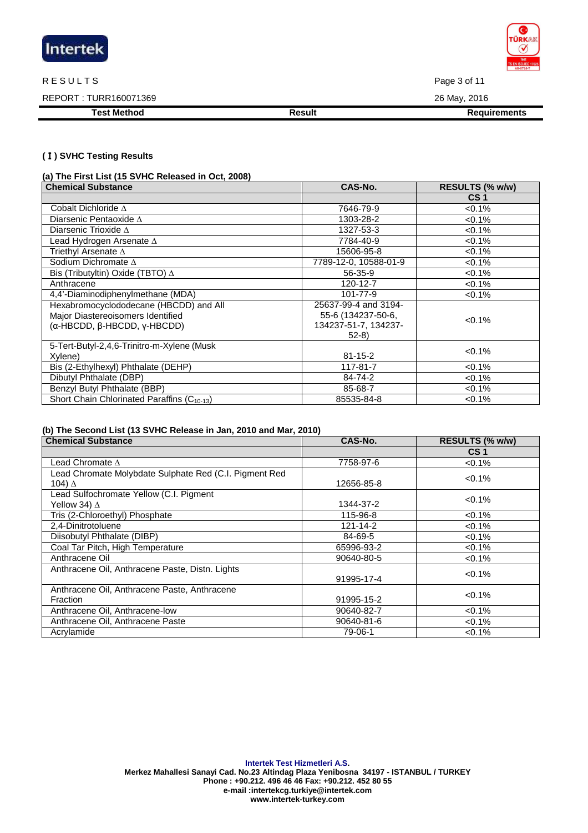

#### R E SULTS Page 3 of 11

REPORT : TURR160071369 26 May, 2016

**Test Method Result Result Result Requirements** 

### **(**Ⅰ**) SVHC Testing Results**

**(a) The First List (15 SVHC Released in Oct, 2008)** 

| <b>Chemical Substance</b>                               | CAS-No.               | RESULTS (% w/w) |
|---------------------------------------------------------|-----------------------|-----------------|
|                                                         |                       | CS <sub>1</sub> |
| Cobalt Dichloride $\Delta$                              | 7646-79-9             | $< 0.1\%$       |
| Diarsenic Pentaoxide $\Delta$                           | 1303-28-2             | $< 0.1\%$       |
| Diarsenic Trioxide $\Delta$                             | 1327-53-3             | $< 0.1\%$       |
| Lead Hydrogen Arsenate $\Delta$                         | 7784-40-9             | $< 0.1\%$       |
| Triethyl Arsenate $\Delta$                              | 15606-95-8            | $< 0.1\%$       |
| Sodium Dichromate $\Delta$                              | 7789-12-0, 10588-01-9 | $< 0.1\%$       |
| Bis (Tributyltin) Oxide (TBTO) $\Delta$                 | 56-35-9               | $< 0.1\%$       |
| Anthracene                                              | 120-12-7              | $< 0.1\%$       |
| 4,4'-Diaminodiphenylmethane (MDA)                       | 101-77-9              | $< 0.1\%$       |
| Hexabromocyclododecane (HBCDD) and All                  | 25637-99-4 and 3194-  |                 |
| Major Diastereoisomers Identified                       | 55-6 (134237-50-6,    | $< 0.1\%$       |
| (α-HBCDD, β-HBCDD, γ-HBCDD)                             | 134237-51-7, 134237-  |                 |
|                                                         | $52-8$                |                 |
| 5-Tert-Butyl-2,4,6-Trinitro-m-Xylene (Musk              |                       | $< 0.1\%$       |
| Xylene)                                                 | $81 - 15 - 2$         |                 |
| Bis (2-Ethylhexyl) Phthalate (DEHP)                     | 117-81-7              | $< 0.1\%$       |
| Dibutyl Phthalate (DBP)                                 | 84-74-2               | $< 0.1\%$       |
| Benzyl Butyl Phthalate (BBP)                            | 85-68-7               | $< 0.1\%$       |
| Short Chain Chlorinated Paraffins (C <sub>10-13</sub> ) | 85535-84-8            | < 0.1%          |

### **(b) The Second List (13 SVHC Release in Jan, 2010 and Mar, 2010)**

| <b>Chemical Substance</b>                              | CAS-No.        | RESULTS (% w/w) |
|--------------------------------------------------------|----------------|-----------------|
|                                                        |                | CS <sub>1</sub> |
| Lead Chromate $\Lambda$                                | 7758-97-6      | $< 0.1\%$       |
| Lead Chromate Molybdate Sulphate Red (C.I. Pigment Red |                | $< 0.1\%$       |
| 104) Δ                                                 | 12656-85-8     |                 |
| Lead Sulfochromate Yellow (C.I. Pigment                |                | $< 0.1\%$       |
| Yellow 34) ∆                                           | 1344-37-2      |                 |
| Tris (2-Chloroethyl) Phosphate                         | 115-96-8       | $< 0.1\%$       |
| 2,4-Dinitrotoluene                                     | $121 - 14 - 2$ | $< 0.1\%$       |
| Diisobutyl Phthalate (DIBP)                            | 84-69-5        | $< 0.1\%$       |
| Coal Tar Pitch, High Temperature                       | 65996-93-2     | $< 0.1\%$       |
| Anthracene Oil                                         | 90640-80-5     | $< 0.1\%$       |
| Anthracene Oil, Anthracene Paste, Distn. Lights        |                | $< 0.1\%$       |
|                                                        | 91995-17-4     |                 |
| Anthracene Oil, Anthracene Paste, Anthracene           |                | $< 0.1\%$       |
| <b>Fraction</b>                                        | 91995-15-2     |                 |
| Anthracene Oil, Anthracene-low                         | 90640-82-7     | $< 0.1\%$       |
| Anthracene Oil, Anthracene Paste                       | 90640-81-6     | $< 0.1\%$       |
| Acrylamide                                             | 79-06-1        | $< 0.1\%$       |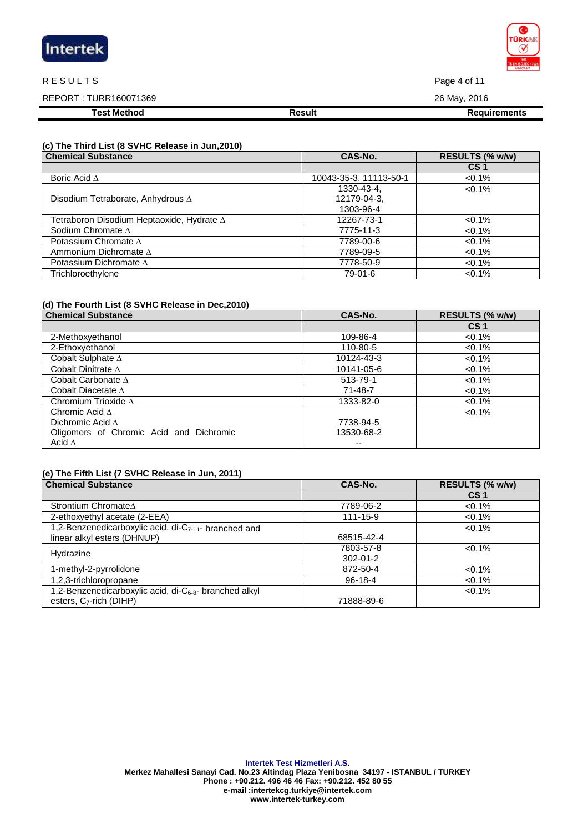| Intertek |  |  |
|----------|--|--|
|          |  |  |

#### R E SULTS Page 4 of 11

REPORT : TURR160071369 26 May, 2016 **Test Method Result Result Result Requirements** 

# **(c) The Third List (8 SVHC Release in Jun,2010)**

| <b>Chemical Substance</b>                        | CAS-No.                | RESULTS (% w/w) |
|--------------------------------------------------|------------------------|-----------------|
|                                                  |                        | CS <sub>1</sub> |
| Boric Acid $\Delta$                              | 10043-35-3, 11113-50-1 | $< 0.1\%$       |
|                                                  | 1330-43-4,             | $< 0.1\%$       |
| Disodium Tetraborate, Anhydrous $\Delta$         | 12179-04-3.            |                 |
|                                                  | 1303-96-4              |                 |
| Tetraboron Disodium Heptaoxide, Hydrate $\Delta$ | 12267-73-1             | $< 0.1\%$       |
| Sodium Chromate $\Delta$                         | 7775-11-3              | $< 0.1\%$       |
| Potassium Chromate $\Delta$                      | 7789-00-6              | $< 0.1\%$       |
| Ammonium Dichromate $\Delta$                     | 7789-09-5              | $< 0.1\%$       |
| Potassium Dichromate $\Delta$                    | 7778-50-9              | $< 0.1\%$       |
| Trichloroethylene                                | 79-01-6                | $< 0.1\%$       |

### **(d) The Fourth List (8 SVHC Release in Dec,2010)**

| <b>Chemical Substance</b>               | CAS-No.    | RESULTS (% w/w) |  |
|-----------------------------------------|------------|-----------------|--|
|                                         |            | CS <sub>1</sub> |  |
| 2-Methoxyethanol                        | 109-86-4   | $< 0.1\%$       |  |
| 2-Ethoxyethanol                         | 110-80-5   | $< 0.1\%$       |  |
| Cobalt Sulphate $\Delta$                | 10124-43-3 | $< 0.1\%$       |  |
| Cobalt Dinitrate $\Delta$               | 10141-05-6 | $< 0.1\%$       |  |
| Cobalt Carbonate $\Delta$               | 513-79-1   | $< 0.1\%$       |  |
| Cobalt Diacetate $\Delta$               | 71-48-7    | $< 0.1\%$       |  |
| Chromium Trioxide $\Delta$              | 1333-82-0  | $< 0.1\%$       |  |
| Chromic Acid $\Lambda$                  |            | $< 0.1\%$       |  |
| Dichromic Acid $\Delta$                 | 7738-94-5  |                 |  |
| Oligomers of Chromic Acid and Dichromic | 13530-68-2 |                 |  |
| Acid $\Delta$                           | --         |                 |  |

# **(e) The Fifth List (7 SVHC Release in Jun, 2011)**

| <b>Chemical Substance</b>                                          | CAS-No.        | RESULTS (% w/w) |
|--------------------------------------------------------------------|----------------|-----------------|
|                                                                    |                | CS <sub>1</sub> |
| Strontium Chromate∆                                                | 7789-06-2      | $< 0.1\%$       |
| 2-ethoxyethyl acetate (2-EEA)                                      | 111-15-9       | $< 0.1\%$       |
| 1,2-Benzenedicarboxylic acid, di-C <sub>7-11</sub> - branched and  |                | $< 0.1\%$       |
| linear alkyl esters (DHNUP)                                        | 68515-42-4     |                 |
| Hydrazine                                                          | 7803-57-8      | $<0.1\%$        |
|                                                                    | $302 - 01 - 2$ |                 |
| 1-methyl-2-pyrrolidone                                             | 872-50-4       | $< 0.1\%$       |
| 1,2,3-trichloropropane                                             | $96-18-4$      | $< 0.1\%$       |
| 1,2-Benzenedicarboxylic acid, di-C <sub>6-8</sub> - branched alkyl |                | $< 0.1\%$       |
| esters, $C_7$ -rich (DIHP)                                         | 71888-89-6     |                 |

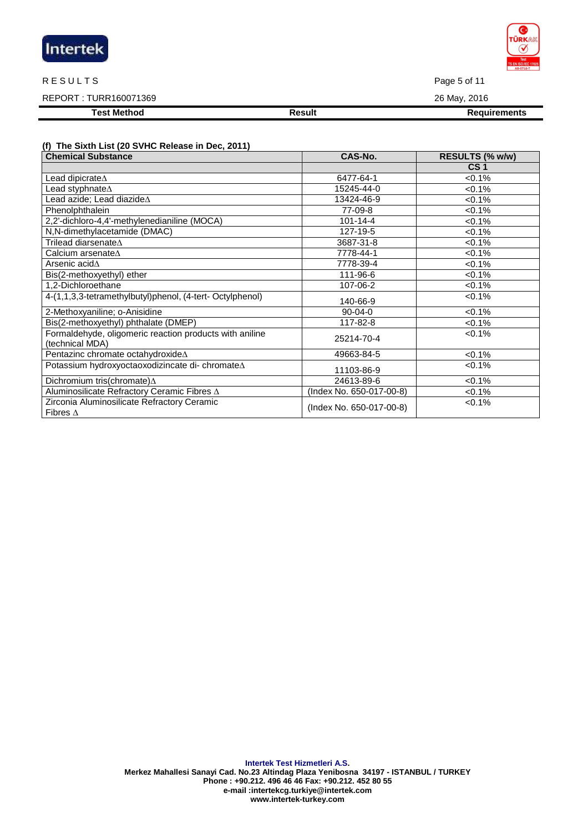| Intertek |  |  |
|----------|--|--|
|          |  |  |

#### R E SULTS Page 5 of 11

# REPORT : TURR160071369 26 May, 2016

**Test Method Result Result Result Requirements** 

# **(f) The Sixth List (20 SVHC Release in Dec, 2011)**

| <b>Chemical Substance</b>                                                  | CAS-No.                  | RESULTS (% w/w) |
|----------------------------------------------------------------------------|--------------------------|-----------------|
|                                                                            |                          | CS <sub>1</sub> |
| Lead dipicrate∆                                                            | 6477-64-1                | $< 0.1\%$       |
| Lead styphnate $\Delta$                                                    | 15245-44-0               | $< 0.1\%$       |
| Lead azide; Lead diazide $\Delta$                                          | 13424-46-9               | $< 0.1\%$       |
| Phenolphthalein                                                            | 77-09-8                  | $< 0.1\%$       |
| 2,2'-dichloro-4,4'-methylenedianiline (MOCA)                               | $101 - 14 - 4$           | $< 0.1\%$       |
| N,N-dimethylacetamide (DMAC)                                               | 127-19-5                 | $< 0.1\%$       |
| Trilead diarsenate $\Delta$                                                | 3687-31-8                | $< 0.1\%$       |
| Calcium arsenate $\Delta$                                                  | 7778-44-1                | $< 0.1\%$       |
| Arsenic acid∆                                                              | 7778-39-4                | $< 0.1\%$       |
| Bis(2-methoxyethyl) ether                                                  | 111-96-6                 | $< 0.1\%$       |
| 1,2-Dichloroethane                                                         | 107-06-2                 | $< 0.1\%$       |
| 4-(1,1,3,3-tetramethylbutyl)phenol, (4-tert- Octylphenol)                  | 140-66-9                 | $< 0.1\%$       |
| 2-Methoxyaniline; o-Anisidine                                              | $90 - 04 - 0$            | $< 0.1\%$       |
| Bis(2-methoxyethyl) phthalate (DMEP)                                       | 117-82-8                 | $< 0.1\%$       |
| Formaldehyde, oligomeric reaction products with aniline<br>(technical MDA) | 25214-70-4               | $< 0.1\%$       |
| Pentazinc chromate octahydroxideA                                          | 49663-84-5               | $< 0.1\%$       |
| Potassium hydroxyoctaoxodizincate di- chromateA                            | 11103-86-9               | $< 0.1\%$       |
| Dichromium tris(chromate) $\Delta$                                         | 24613-89-6               | $< 0.1\%$       |
| Aluminosilicate Refractory Ceramic Fibres $\Delta$                         | (Index No. 650-017-00-8) | $< 0.1\%$       |
| Zirconia Aluminosilicate Refractory Ceramic<br>Fibres $\Delta$             | (Index No. 650-017-00-8) | <0.1%           |

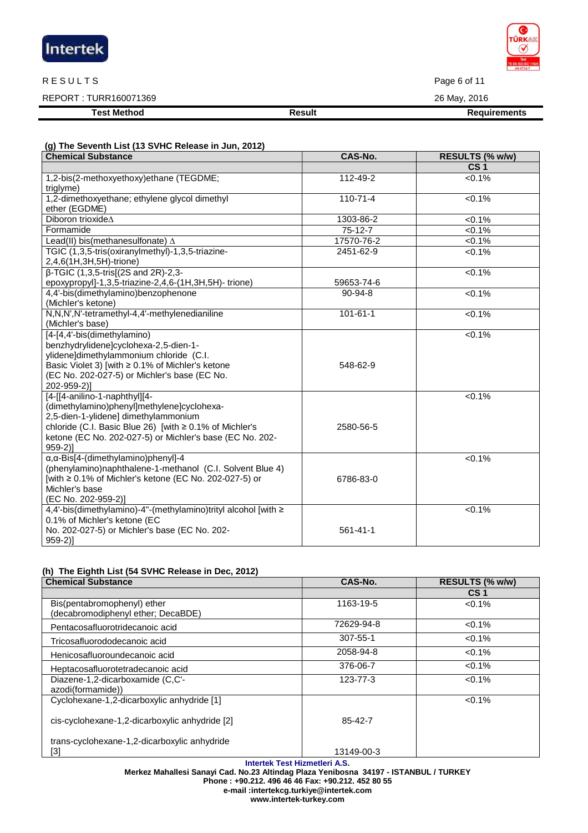| Intertek |  |
|----------|--|
|          |  |

#### R E SULTS Page 6 of 11

REPORT : TURR160071369 26 May, 2016

**Test Method Result Result Result Requirements** 

| (g) The Seventh List (13 SVHC Release in Jun, 2012) |  |
|-----------------------------------------------------|--|

| <b>Chemical Substance</b>                                                                                                                                                                                                                              | CAS-No.        | RESULTS (% w/w)     |
|--------------------------------------------------------------------------------------------------------------------------------------------------------------------------------------------------------------------------------------------------------|----------------|---------------------|
|                                                                                                                                                                                                                                                        |                | CS <sub>1</sub>     |
| 1,2-bis(2-methoxyethoxy)ethane (TEGDME;<br>triglyme)                                                                                                                                                                                                   | 112-49-2       | $< 0.1\%$           |
| 1,2-dimethoxyethane; ethylene glycol dimethyl<br>ether (EGDME)                                                                                                                                                                                         | $110 - 71 - 4$ | $< 0.1\%$           |
| Diboron trioxide∆                                                                                                                                                                                                                                      | 1303-86-2      | <0.1%               |
| Formamide                                                                                                                                                                                                                                              | $75-12-7$      | <0.1%               |
| Lead(II) bis(methanesulfonate) $\Delta$                                                                                                                                                                                                                | 17570-76-2     | $< 0.1\%$           |
| TGIC (1,3,5-tris(oxiranylmethyl)-1,3,5-triazine-<br>2,4,6(1H,3H,5H)-trione)                                                                                                                                                                            | 2451-62-9      | $< 0.1\%$           |
| $\beta$ -TGIC (1,3,5-tris[(2S and 2R)-2,3-                                                                                                                                                                                                             |                | $< 0.1\%$           |
| epoxypropyl]-1,3,5-triazine-2,4,6-(1H,3H,5H)-trione)                                                                                                                                                                                                   | 59653-74-6     |                     |
| 4,4'-bis(dimethylamino)benzophenone<br>(Michler's ketone)                                                                                                                                                                                              | $90 - 94 - 8$  | $< 0.1\%$           |
| N,N,N',N'-tetramethyl-4,4'-methylenedianiline<br>(Michler's base)                                                                                                                                                                                      | $101 - 61 - 1$ | $< 0.1\%$           |
| [4-[4,4'-bis(dimethylamino)<br>benzhydrylidene]cyclohexa-2,5-dien-1-<br>ylidene]dimethylammonium chloride (C.I.<br>Basic Violet 3) [with ≥ 0.1% of Michler's ketone<br>(EC No. 202-027-5) or Michler's base (EC No.<br>202-959-2)]                     | 548-62-9       | < 0.1%              |
| [4-[[4-anilino-1-naphthyl][4-<br>(dimethylamino)phenyl]methylene]cyclohexa-<br>2,5-dien-1-ylidene] dimethylammonium<br>chloride (C.I. Basic Blue 26) [with ≥ 0.1% of Michler's<br>ketone (EC No. 202-027-5) or Michler's base (EC No. 202-<br>$959-2]$ | 2580-56-5      | < 0.1%              |
| $\alpha$ , $\alpha$ -Bis[4-(dimethylamino)phenyl]-4<br>(phenylamino)naphthalene-1-methanol (C.I. Solvent Blue 4)<br>[with ≥ 0.1% of Michler's ketone (EC No. 202-027-5) or<br>Michler's base<br>(EC No. 202-959-2)]                                    | 6786-83-0      | < 0.1%              |
| 4,4'-bis(dimethylamino)-4"-(methylamino)trityl alcohol [with ≥<br>0.1% of Michler's ketone (EC<br>No. 202-027-5) or Michler's base (EC No. 202-<br>$959-2]$                                                                                            | $561 - 41 - 1$ | $\overline{50.1\%}$ |

# **(h) The Eighth List (54 SVHC Release in Dec, 2012)**

| <b>Chemical Substance</b>                      | CAS-No.        | RESULTS (% w/w) |
|------------------------------------------------|----------------|-----------------|
|                                                |                | CS <sub>1</sub> |
| Bis(pentabromophenyl) ether                    | 1163-19-5      | $< 0.1\%$       |
| (decabromodiphenyl ether; DecaBDE)             |                |                 |
| Pentacosafluorotridecanoic acid                | 72629-94-8     | $< 0.1\%$       |
| Tricosafluorododecanoic acid                   | $307 - 55 - 1$ | $< 0.1\%$       |
| Henicosafluoroundecanoic acid                  | 2058-94-8      | $< 0.1\%$       |
| Heptacosafluorotetradecanoic acid              | 376-06-7       | $< 0.1\%$       |
| Diazene-1,2-dicarboxamide (C,C'-               | 123-77-3       | $< 0.1\%$       |
| azodi(formamide))                              |                |                 |
| Cyclohexane-1,2-dicarboxylic anhydride [1]     |                | $< 0.1\%$       |
| cis-cyclohexane-1,2-dicarboxylic anhydride [2] | 85-42-7        |                 |
| trans-cyclohexane-1,2-dicarboxylic anhydride   |                |                 |
| [3]                                            | 13149-00-3     |                 |

**Intertek Test Hizmetleri A.S.** 

**Merkez Mahallesi Sanayi Cad. No.23 Altindag Plaza Yenibosna 34197 - ISTANBUL / TURKEY Phone : +90.212. 496 46 46 Fax: +90.212. 452 80 55** 

**e-mail :intertekcg.turkiye@intertek.com** 

**www.intertek-turkey.com**

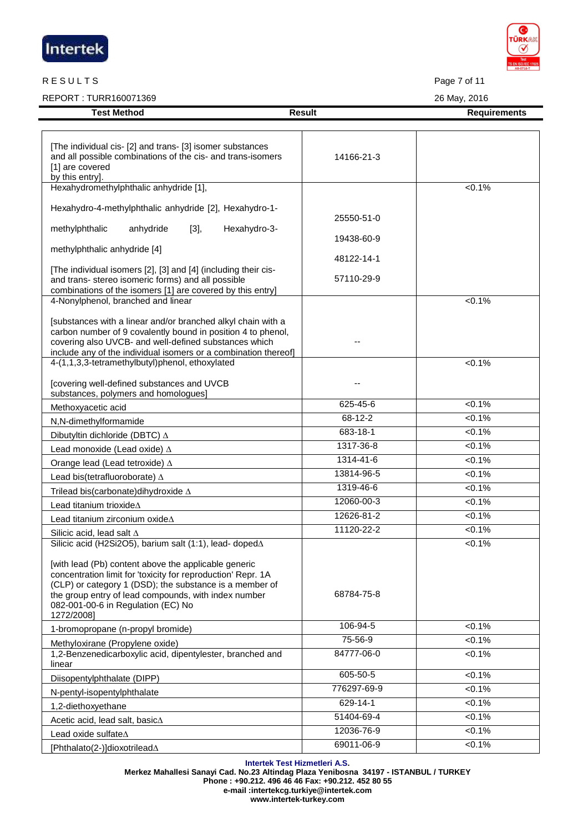| Intertek |  |
|----------|--|
|          |  |

# R E SULTS Page 7 of 11

REPORT : TURR160071369 26 May, 2016

|                    |        | .                   |
|--------------------|--------|---------------------|
| <b>Test Method</b> | Result | <b>Requirements</b> |

| [The individual cis- [2] and trans- [3] isomer substances<br>and all possible combinations of the cis- and trans-isomers<br>[1] are covered<br>by this entry].                                                                                                                              | 14166-21-3  |           |
|---------------------------------------------------------------------------------------------------------------------------------------------------------------------------------------------------------------------------------------------------------------------------------------------|-------------|-----------|
| Hexahydromethylphthalic anhydride [1],                                                                                                                                                                                                                                                      |             | $< 0.1\%$ |
| Hexahydro-4-methylphthalic anhydride [2], Hexahydro-1-                                                                                                                                                                                                                                      |             |           |
|                                                                                                                                                                                                                                                                                             | 25550-51-0  |           |
| Hexahydro-3-<br>methylphthalic<br>anhydride<br>$[3]$ ,                                                                                                                                                                                                                                      | 19438-60-9  |           |
| methylphthalic anhydride [4]                                                                                                                                                                                                                                                                |             |           |
|                                                                                                                                                                                                                                                                                             | 48122-14-1  |           |
| [The individual isomers [2], [3] and [4] (including their cis-<br>and trans- stereo isomeric forms) and all possible                                                                                                                                                                        | 57110-29-9  |           |
| combinations of the isomers [1] are covered by this entry]                                                                                                                                                                                                                                  |             |           |
| 4-Nonylphenol, branched and linear                                                                                                                                                                                                                                                          |             | $< 0.1\%$ |
| [substances with a linear and/or branched alkyl chain with a                                                                                                                                                                                                                                |             |           |
| carbon number of 9 covalently bound in position 4 to phenol,                                                                                                                                                                                                                                |             |           |
| covering also UVCB- and well-defined substances which                                                                                                                                                                                                                                       |             |           |
| include any of the individual isomers or a combination thereof]<br>4-(1,1,3,3-tetramethylbutyl)phenol, ethoxylated                                                                                                                                                                          |             | $< 0.1\%$ |
|                                                                                                                                                                                                                                                                                             |             |           |
| [covering well-defined substances and UVCB<br>substances, polymers and homologues]                                                                                                                                                                                                          |             |           |
| Methoxyacetic acid                                                                                                                                                                                                                                                                          | 625-45-6    | $< 0.1\%$ |
| N,N-dimethylformamide                                                                                                                                                                                                                                                                       | 68-12-2     | $< 0.1\%$ |
| Dibutyltin dichloride (DBTC) $\Delta$                                                                                                                                                                                                                                                       | 683-18-1    | < 0.1%    |
| Lead monoxide (Lead oxide) A                                                                                                                                                                                                                                                                | 1317-36-8   | $< 0.1\%$ |
| Orange lead (Lead tetroxide) $\Delta$                                                                                                                                                                                                                                                       | 1314-41-6   | $< 0.1\%$ |
| Lead bis(tetrafluoroborate) A                                                                                                                                                                                                                                                               | 13814-96-5  | < 0.1%    |
| Trilead bis(carbonate) dihy droxide $\Delta$                                                                                                                                                                                                                                                | 1319-46-6   | $< 0.1\%$ |
| Lead titanium trioxideA                                                                                                                                                                                                                                                                     | 12060-00-3  | $< 0.1\%$ |
| Lead titanium zirconium oxideA                                                                                                                                                                                                                                                              | 12626-81-2  | $< 0.1\%$ |
| Silicic acid, lead salt $\Delta$                                                                                                                                                                                                                                                            | 11120-22-2  | $< 0.1\%$ |
| Silicic acid (H2Si2O5), barium salt (1:1), lead- doped∆                                                                                                                                                                                                                                     |             | $< 0.1\%$ |
| [with lead (Pb) content above the applicable generic<br>concentration limit for 'toxicity for reproduction' Repr. 1A<br>(CLP) or category 1 (DSD); the substance is a member of<br>the group entry of lead compounds, with index number<br>082-001-00-6 in Regulation (EC) No<br>1272/2008] | 68784-75-8  |           |
| 1-bromopropane (n-propyl bromide)                                                                                                                                                                                                                                                           | 106-94-5    | $< 0.1\%$ |
| Methyloxirane (Propylene oxide)                                                                                                                                                                                                                                                             | 75-56-9     | < 0.1%    |
| 1,2-Benzenedicarboxylic acid, dipentylester, branched and<br>linear                                                                                                                                                                                                                         | 84777-06-0  | < 0.1%    |
| Diisopentylphthalate (DIPP)                                                                                                                                                                                                                                                                 | 605-50-5    | $< 0.1\%$ |
| N-pentyl-isopentylphthalate                                                                                                                                                                                                                                                                 | 776297-69-9 | $< 0.1\%$ |
| 1,2-diethoxyethane                                                                                                                                                                                                                                                                          | 629-14-1    | $< 0.1\%$ |
| Acetic acid, lead salt, basic $\Delta$                                                                                                                                                                                                                                                      | 51404-69-4  | < 0.1%    |
| Lead oxide sulfate $\Delta$                                                                                                                                                                                                                                                                 | 12036-76-9  | $< 0.1\%$ |
| [Phthalato(2-)]dioxotrilead $\Delta$                                                                                                                                                                                                                                                        | 69011-06-9  | $< 0.1\%$ |

**Intertek Test Hizmetleri A.S. Merkez Mahallesi Sanayi Cad. No.23 Altindag Plaza Yenibosna 34197 - ISTANBUL / TURKEY Phone : +90.212. 496 46 46 Fax: +90.212. 452 80 55 e-mail :intertekcg.turkiye@intertek.com www.intertek-turkey.com**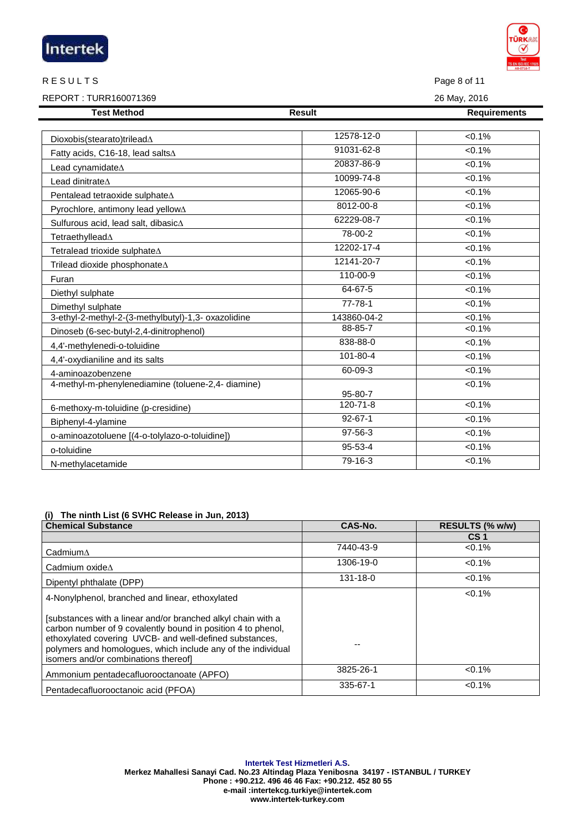|                                                     |                | <b>TS EN ISO/IEC 1702</b> |
|-----------------------------------------------------|----------------|---------------------------|
| <b>RESULTS</b>                                      |                | Page 8 of 11              |
| REPORT: TURR160071369                               |                | 26 May, 2016              |
| <b>Test Method</b>                                  | <b>Result</b>  | <b>Requirements</b>       |
|                                                     | 12578-12-0     | $< 0.1\%$                 |
| Dioxobis(stearato)trilead $\Delta$                  | 91031-62-8     | $< 0.1\%$                 |
| Fatty acids, C16-18, lead salts∆                    | 20837-86-9     | $< 0.1\%$                 |
| Lead cynamidate $\Delta$<br>Lead dinitrateA         | 10099-74-8     | $< 0.1\%$                 |
|                                                     | 12065-90-6     | < 0.1%                    |
| Pentalead tetraoxide sulphate∆                      | 8012-00-8      | $< 0.1\%$                 |
| Pyrochlore, antimony lead yellow∆                   | 62229-08-7     | < 0.1%                    |
| Sulfurous acid, lead salt, dibasic∆                 | 78-00-2        | < 0.1%                    |
| Tetraethyllead∆                                     | 12202-17-4     | < 0.1%                    |
| Tetralead trioxide sulphate∆                        |                |                           |
| Trilead dioxide phosphonate∆                        | 12141-20-7     | $< 0.1\%$                 |
| Furan                                               | 110-00-9       | $< 0.1\%$                 |
| Diethyl sulphate                                    | 64-67-5        | < 0.1%                    |
| Dimethyl sulphate                                   | $77 - 78 - 1$  | $< 0.1\%$                 |
| 3-ethyl-2-methyl-2-(3-methylbutyl)-1,3- oxazolidine | 143860-04-2    | $< 0.1\%$                 |
| Dinoseb (6-sec-butyl-2,4-dinitrophenol)             | 88-85-7        | < 0.1%                    |
| 4,4'-methylenedi-o-toluidine                        | 838-88-0       | $< 0.1\%$                 |
| 4,4'-oxydianiline and its salts                     | 101-80-4       | < 0.1%                    |
| 4-aminoazobenzene                                   | 60-09-3        | < 0.1%                    |
| 4-methyl-m-phenylenediamine (toluene-2,4- diamine)  | 95-80-7        | < 0.1%                    |
| 6-methoxy-m-toluidine (p-cresidine)                 | $120 - 71 - 8$ | $< 0.1\%$                 |
| Biphenyl-4-ylamine                                  | $92 - 67 - 1$  | $< 0.1\%$                 |
| o-aminoazotoluene [(4-o-tolylazo-o-toluidine])      | 97-56-3        | $< 0.1\%$                 |
| o-toluidine                                         | $95 - 53 - 4$  | $< 0.1\%$                 |
| N-methylacetamide                                   | $79-16-3$      | $< 0.1\%$                 |

# **(i) The ninth List (6 SVHC Release in Jun, 2013)**

Intertek

| <b>Chemical Substance</b>                                                                                                                                                                                                                                                                       | CAS-No.   | RESULTS (% w/w) |
|-------------------------------------------------------------------------------------------------------------------------------------------------------------------------------------------------------------------------------------------------------------------------------------------------|-----------|-----------------|
|                                                                                                                                                                                                                                                                                                 |           | CS <sub>1</sub> |
| $C$ admium $\Delta$                                                                                                                                                                                                                                                                             | 7440-43-9 | $< 0.1\%$       |
| Cadmium oxide $\Lambda$                                                                                                                                                                                                                                                                         | 1306-19-0 | $< 0.1\%$       |
| Dipentyl phthalate (DPP)                                                                                                                                                                                                                                                                        | 131-18-0  | $< 0.1\%$       |
| 4-Nonylphenol, branched and linear, ethoxylated                                                                                                                                                                                                                                                 |           | $< 0.1\%$       |
| [substances with a linear and/or branched alkyl chain with a<br>carbon number of 9 covalently bound in position 4 to phenol.<br>ethoxylated covering UVCB- and well-defined substances,<br>polymers and homologues, which include any of the individual<br>isomers and/or combinations thereof] |           |                 |
| Ammonium pentadecafluorooctanoate (APFO)                                                                                                                                                                                                                                                        | 3825-26-1 | $< 0.1\%$       |
| Pentadecafluorooctanoic acid (PFOA)                                                                                                                                                                                                                                                             | 335-67-1  | $< 0.1\%$       |

**Intertek Test Hizmetleri A.S. Merkez Mahallesi Sanayi Cad. No.23 Altindag Plaza Yenibosna 34197 - ISTANBUL / TURKEY Phone : +90.212. 496 46 46 Fax: +90.212. 452 80 55 e-mail :intertekcg.turkiye@intertek.com www.intertek-turkey.com**

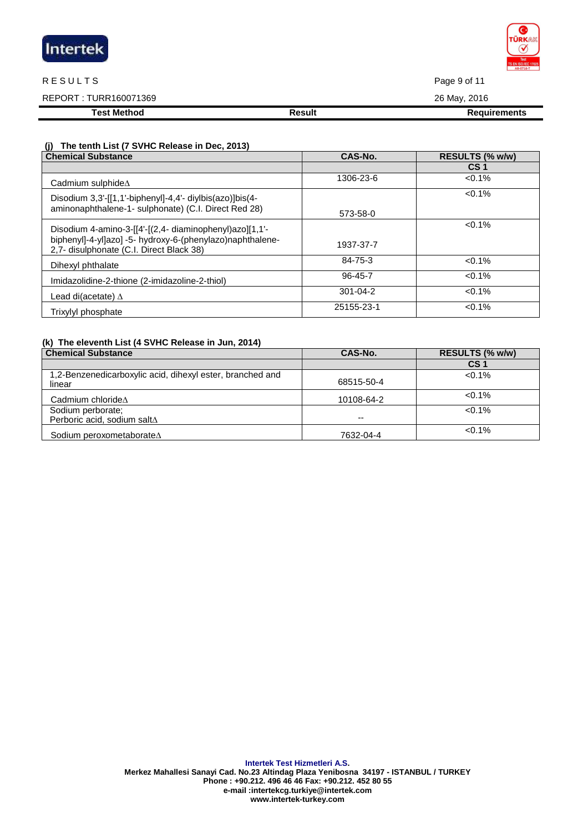| Intertek |  |  |
|----------|--|--|
|          |  |  |

#### R E SULTS Page 9 of 11

REPORT : TURR160071369 26 May, 2016

**Test Method Result Result Result Requirements** 

 **(j) The tenth List (7 SVHC Release in Dec, 2013)** 

| <b>Chemical Substance</b>                                                                                                                                        | CAS-No.        | RESULTS (% w/w) |
|------------------------------------------------------------------------------------------------------------------------------------------------------------------|----------------|-----------------|
|                                                                                                                                                                  |                | CS <sub>1</sub> |
| Cadmium sulphide $\Delta$                                                                                                                                        | 1306-23-6      | $< 0.1\%$       |
| Disodium 3,3'-[[1,1'-biphenyl]-4,4'- diylbis(azo)]bis(4-<br>aminonaphthalene-1- sulphonate) (C.I. Direct Red 28)                                                 | 573-58-0       | $< 0.1\%$       |
| Disodium 4-amino-3-[[4'-[(2,4- diaminophenyl)azo][1,1'-<br>biphenyl]-4-yl]azo] -5- hydroxy-6-(phenylazo)naphthalene-<br>2,7- disulphonate (C.I. Direct Black 38) | 1937-37-7      | $< 0.1\%$       |
| Dihexyl phthalate                                                                                                                                                | 84-75-3        | $< 0.1\%$       |
| Imidazolidine-2-thione (2-imidazoline-2-thiol)                                                                                                                   | 96-45-7        | $< 0.1\%$       |
| Lead di(acetate) $\Delta$                                                                                                                                        | $301 - 04 - 2$ | $< 0.1\%$       |
| Trixylyl phosphate                                                                                                                                               | 25155-23-1     | $< 0.1\%$       |

# **(k) The eleventh List (4 SVHC Release in Jun, 2014)**

| <b>Chemical Substance</b>                                           | CAS-No.    | RESULTS (% w/w) |
|---------------------------------------------------------------------|------------|-----------------|
|                                                                     |            | CS 1            |
| 1,2-Benzenedicarboxylic acid, dihexyl ester, branched and<br>linear | 68515-50-4 | $< 0.1\%$       |
| Cadmium chloride $\Delta$                                           | 10108-64-2 | $< 0.1\%$       |
| Sodium perborate;<br>Perboric acid, sodium saltA                    | --         | $< 0.1\%$       |
| Sodium peroxometaborate∆                                            | 7632-04-4  | $<0.1\%$        |

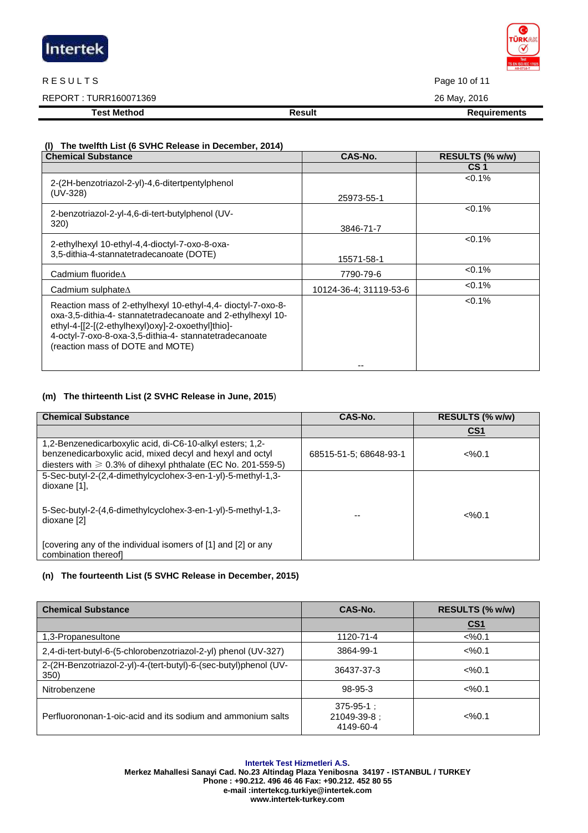

# R E SULTS Page 10 of 11

REPORT : TURR160071369 26 May, 2016

**Test Method Result Result Result Requirements** 

# **(l) The twelfth List (6 SVHC Release in December, 2014)**

| <b>Chemical Substance</b>                                                                                                                                                                                                                                                      | CAS-No.                | RESULTS (% w/w) |
|--------------------------------------------------------------------------------------------------------------------------------------------------------------------------------------------------------------------------------------------------------------------------------|------------------------|-----------------|
|                                                                                                                                                                                                                                                                                |                        | CS <sub>1</sub> |
| 2-(2H-benzotriazol-2-yl)-4,6-ditertpentylphenol                                                                                                                                                                                                                                |                        | $< 0.1\%$       |
| (UV-328)                                                                                                                                                                                                                                                                       | 25973-55-1             |                 |
| 2-benzotriazol-2-yl-4,6-di-tert-butylphenol (UV-                                                                                                                                                                                                                               |                        | $< 0.1\%$       |
| 320)                                                                                                                                                                                                                                                                           | 3846-71-7              |                 |
| 2-ethylhexyl 10-ethyl-4,4-dioctyl-7-oxo-8-oxa-                                                                                                                                                                                                                                 |                        | $< 0.1\%$       |
| 3,5-dithia-4-stannatetradecanoate (DOTE)                                                                                                                                                                                                                                       | 15571-58-1             |                 |
| Cadmium fluoride $\Lambda$                                                                                                                                                                                                                                                     | 7790-79-6              | $< 0.1\%$       |
| Cadmium sulphate $\Delta$                                                                                                                                                                                                                                                      | 10124-36-4: 31119-53-6 | $< 0.1\%$       |
| Reaction mass of 2-ethylhexyl 10-ethyl-4,4- dioctyl-7-oxo-8-<br>oxa-3,5-dithia-4- stannatetradecanoate and 2-ethylhexyl 10-<br>ethyl-4-[[2-[(2-ethylhexyl)oxy]-2-oxoethyl]thio]-<br>4-octyl-7-oxo-8-oxa-3,5-dithia-4- stannatetradecanoate<br>(reaction mass of DOTE and MOTE) |                        | $< 0.1\%$       |
|                                                                                                                                                                                                                                                                                |                        |                 |

# **(m) The thirteenth List (2 SVHC Release in June, 2015**)

| <b>Chemical Substance</b>                                                                                                                                                                    | CAS-No.                | RESULTS (% w/w)   |
|----------------------------------------------------------------------------------------------------------------------------------------------------------------------------------------------|------------------------|-------------------|
|                                                                                                                                                                                              |                        | CS <sub>1</sub>   |
| 1,2-Benzenedicarboxylic acid, di-C6-10-alkyl esters; 1,2-<br>benzenedicarboxylic acid, mixed decyl and hexyl and octyl<br>diesters with $\geq 0.3\%$ of dihexyl phthalate (EC No. 201-559-5) | 68515-51-5: 68648-93-1 | $<\frac{9}{6}0.1$ |
| 5-Sec-butyl-2-(2,4-dimethylcyclohex-3-en-1-yl)-5-methyl-1,3-<br>dioxane [1].                                                                                                                 |                        |                   |
| 5-Sec-butyl-2-(4,6-dimethylcyclohex-3-en-1-yl)-5-methyl-1,3-<br>dioxane [2]                                                                                                                  |                        | $<\frac{9}{6}0.1$ |
| [covering any of the individual isomers of [1] and [2] or any<br>combination thereofl                                                                                                        |                        |                   |

# **(n) The fourteenth List (5 SVHC Release in December, 2015)**

| <b>Chemical Substance</b>                                                | CAS-No.                                      | RESULTS (% w/w)   |
|--------------------------------------------------------------------------|----------------------------------------------|-------------------|
|                                                                          |                                              | <u>CS1</u>        |
| 1,3-Propanesultone                                                       | 1120-71-4                                    | $<\frac{9}{0.1}$  |
| 2,4-di-tert-butyl-6-(5-chlorobenzotriazol-2-yl) phenol (UV-327)          | 3864-99-1                                    | $<\frac{9}{6}0.1$ |
| 2-(2H-Benzotriazol-2-yl)-4-(tert-butyl)-6-(sec-butyl)phenol (UV-<br>350) | 36437-37-3                                   | $<\frac{9}{6}0.1$ |
| Nitrobenzene                                                             | 98-95-3                                      | $<\frac{9}{6}0.1$ |
| Perfluorononan-1-oic-acid and its sodium and ammonium salts              | $375 - 95 - 1$ :<br>21049-39-8:<br>4149-60-4 | $<\frac{9}{6}0.1$ |